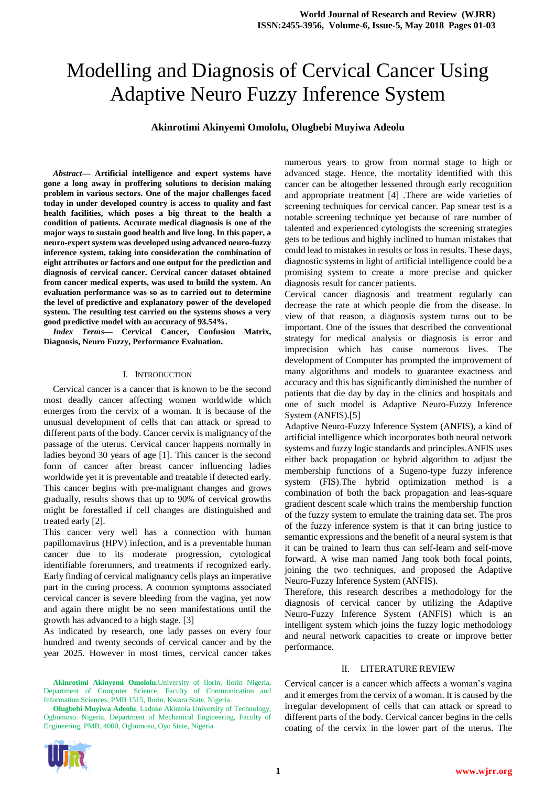# Modelling and Diagnosis of Cervical Cancer Using Adaptive Neuro Fuzzy Inference System

#### **Akinrotimi Akinyemi Omololu, Olugbebi Muyiwa Adeolu**

*Abstract***— Artificial intelligence and expert systems have gone a long away in proffering solutions to decision making problem in various sectors. One of the major challenges faced today in under developed country is access to quality and fast health facilities, which poses a big threat to the health a condition of patients. Accurate medical diagnosis is one of the major ways to sustain good health and live long. In this paper, a neuro-expert system was developed using advanced neuro-fuzzy inference system, taking into consideration the combination of eight attributes or factors and one output for the prediction and diagnosis of cervical cancer. Cervical cancer dataset obtained from cancer medical experts, was used to build the system. An evaluation performance was so as to carried out to determine the level of predictive and explanatory power of the developed system. The resulting test carried on the systems shows a very good predictive model with an accuracy of 93.54%.**

*Index Terms***— Cervical Cancer, Confusion Matrix, Diagnosis, Neuro Fuzzy, Performance Evaluation.** 

#### I. INTRODUCTION

 Cervical cancer is a cancer that is known to be the second most deadly cancer affecting women worldwide which emerges from the cervix of a woman. It is because of the unusual development of cells that can attack or spread to different parts of the body. Cancer cervix is malignancy of the passage of the uterus. Cervical cancer happens normally in ladies beyond 30 years of age [1]. This cancer is the second form of cancer after breast cancer influencing ladies worldwide yet it is preventable and treatable if detected early. This cancer begins with pre-malignant changes and grows gradually, results shows that up to 90% of cervical growths might be forestalled if cell changes are distinguished and treated early [2].

This cancer very well has a connection with human papillomavirus (HPV) infection, and is a preventable human cancer due to its moderate progression, cytological identifiable forerunners, and treatments if recognized early. Early finding of cervical malignancy cells plays an imperative part in the curing process. A common symptoms associated cervical cancer is severe bleeding from the vagina, yet now and again there might be no seen manifestations until the growth has advanced to a high stage. [3]

As indicated by research, one lady passes on every four hundred and twenty seconds of cervical cancer and by the year 2025. However in most times, cervical cancer takes

**Akinrotimi Akinyemi Omololu**,University of Ilorin, Ilorin Nigeria, Department of Computer Science, Faculty of Communication and Information Sciences, PMB 1515, Ilorin, Kwara State, Nigeria.

**Olugbebi Muyiwa Adeolu**, Ladoke Akintola University of Technology, Ogbomoso. Nigeria. Department of Mechanical Engineering, Faculty of Engineering, PMB, 4000, Ogbomoso, Oyo State, Nigeria



numerous years to grow from normal stage to high or advanced stage. Hence, the mortality identified with this cancer can be altogether lessened through early recognition and appropriate treatment [4] .There are wide varieties of screening techniques for cervical cancer. Pap smear test is a notable screening technique yet because of rare number of talented and experienced cytologists the screening strategies gets to be tedious and highly inclined to human mistakes that could lead to mistakes in results or loss in results. These days, diagnostic systems in light of artificial intelligence could be a promising system to create a more precise and quicker diagnosis result for cancer patients.

Cervical cancer diagnosis and treatment regularly can decrease the rate at which people die from the disease. In view of that reason, a diagnosis system turns out to be important. One of the issues that described the conventional strategy for medical analysis or diagnosis is error and imprecision which has cause numerous lives. The development of Computer has prompted the improvement of many algorithms and models to guarantee exactness and accuracy and this has significantly diminished the number of patients that die day by day in the clinics and hospitals and one of such model is Adaptive Neuro-Fuzzy Inference System (ANFIS).[5]

Adaptive Neuro-Fuzzy Inference System (ANFIS), a kind of artificial intelligence which incorporates both neural network systems and fuzzy logic standards and principles.ANFIS uses either back propagation or hybrid algorithm to adjust the membership functions of a Sugeno-type fuzzy inference system (FIS).The hybrid optimization method is a combination of both the back propagation and leas-square gradient descent scale which trains the membership function of the fuzzy system to emulate the training data set. The pros of the fuzzy inference system is that it can bring justice to semantic expressions and the benefit of a neural system is that it can be trained to learn thus can self-learn and self-move forward. A wise man named Jang took both focal points, joining the two techniques, and proposed the Adaptive Neuro-Fuzzy Inference System (ANFIS).

Therefore, this research describes a methodology for the diagnosis of cervical cancer by utilizing the Adaptive Neuro-Fuzzy Inference System (ANFIS) which is an intelligent system which joins the fuzzy logic methodology and neural network capacities to create or improve better performance.

#### II. LITERATURE REVIEW

Cervical cancer is a cancer which affects a woman's vagina and it emerges from the cervix of a woman. It is caused by the irregular development of cells that can attack or spread to different parts of the body. Cervical cancer begins in the cells coating of the cervix in the lower part of the uterus. The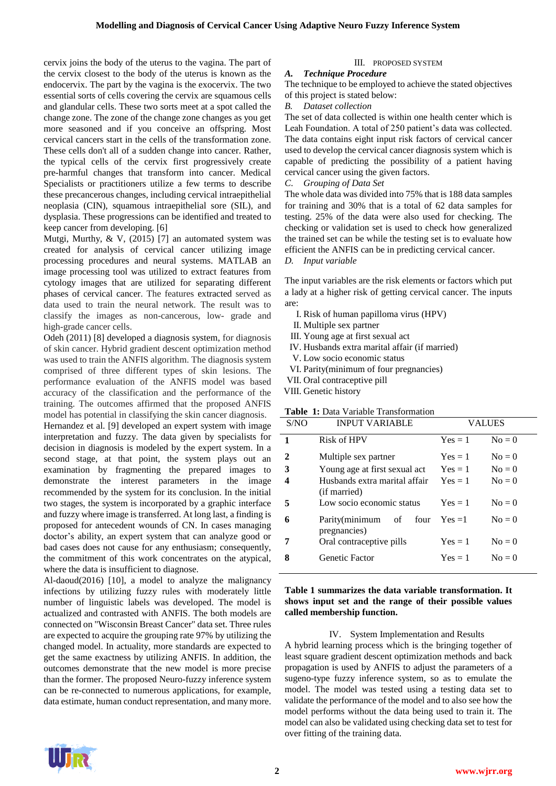cervix joins the body of the uterus to the vagina. The part of the cervix closest to the body of the uterus is known as the endocervix. The part by the vagina is the exocervix. The two essential sorts of cells covering the cervix are squamous cells and glandular cells. These two sorts meet at a spot called the change zone. The zone of the change zone changes as you get more seasoned and if you conceive an offspring. Most cervical cancers start in the cells of the transformation zone. These cells don't all of a sudden change into cancer. Rather, the typical cells of the cervix first progressively create pre-harmful changes that transform into cancer. Medical Specialists or practitioners utilize a few terms to describe these precancerous changes, including cervical intraepithelial neoplasia (CIN), squamous intraepithelial sore (SIL), and dysplasia. These progressions can be identified and treated to keep cancer from developing. [6]

Mutgi, Murthy, & V, (2015) [7] an automated system was created for analysis of cervical cancer utilizing image processing procedures and neural systems. MATLAB an image processing tool was utilized to extract features from cytology images that are utilized for separating different phases of cervical cancer. The features extracted served as data used to train the neural network. The result was to classify the images as non-cancerous, low- grade and high-grade cancer cells.

Odeh (2011) [8] developed a diagnosis system, for diagnosis of skin cancer. Hybrid gradient descent optimization method was used to train the ANFIS algorithm. The diagnosis system comprised of three different types of skin lesions. The performance evaluation of the ANFIS model was based accuracy of the classification and the performance of the training. The outcomes affirmed that the proposed ANFIS model has potential in classifying the skin cancer diagnosis.

Hernandez et al. [9] developed an expert system with image interpretation and fuzzy. The data given by specialists for decision in diagnosis is modeled by the expert system. In a second stage, at that point, the system plays out an examination by fragmenting the prepared images to demonstrate the interest parameters in the image recommended by the system for its conclusion. In the initial two stages, the system is incorporated by a graphic interface and fuzzy where image is transferred. At long last, a finding is proposed for antecedent wounds of CN. In cases managing doctor's ability, an expert system that can analyze good or bad cases does not cause for any enthusiasm; consequently, the commitment of this work concentrates on the atypical, where the data is insufficient to diagnose.

Al-daoud(2016) [10], a model to analyze the malignancy infections by utilizing fuzzy rules with moderately little number of linguistic labels was developed. The model is actualized and contrasted with ANFIS. The both models are connected on "Wisconsin Breast Cancer" data set. Three rules are expected to acquire the grouping rate 97% by utilizing the changed model. In actuality, more standards are expected to get the same exactness by utilizing ANFIS. In addition, the outcomes demonstrate that the new model is more precise than the former. The proposed Neuro-fuzzy inference system can be re-connected to numerous applications, for example, data estimate, human conduct representation, and many more.

# III. PROPOSED SYSTEM

## *A. Technique Procedure*

The technique to be employed to achieve the stated objectives of this project is stated below:

*B. Dataset collection*

The set of data collected is within one health center which is Leah Foundation. A total of 250 patient's data was collected. The data contains eight input risk factors of cervical cancer used to develop the cervical cancer diagnosis system which is capable of predicting the possibility of a patient having cervical cancer using the given factors.

*C*. *Grouping of Data Set*

The whole data was divided into 75% that is 188 data samples for training and 30% that is a total of 62 data samples for testing. 25% of the data were also used for checking. The checking or validation set is used to check how generalized the trained set can be while the testing set is to evaluate how efficient the ANFIS can be in predicting cervical cancer.

#### *D. Input variable*

The input variables are the risk elements or factors which put a lady at a higher risk of getting cervical cancer. The inputs are:

- I. Risk of human papilloma virus (HPV)
- II. Multiple sex partner
- III. Young age at first sexual act
- IV. Husbands extra marital affair (if married)
- V. Low socio economic status
- VI. Parity(minimum of four pregnancies)
- VII. Oral contraceptive pill
- VIII. Genetic history

## **Table 1:** Data Variable Transformation

| S/NO | <b>INPUT VARIABLE</b>                         | VALUES                 |  |
|------|-----------------------------------------------|------------------------|--|
| 1    | Risk of HPV                                   | $Yes = 1$<br>$N_0 = 0$ |  |
| 2    | Multiple sex partner                          | $Yes = 1$<br>$N_0 = 0$ |  |
| 3    | Young age at first sexual act                 | $N_0 = 0$<br>$Yes = 1$ |  |
| 4    | Husbands extra marital affair<br>(if married) | $N_0 = 0$<br>$Yes = 1$ |  |
| 5    | Low socio economic status                     | $Yes = 1$<br>$N_0 = 0$ |  |
| 6    | Parity(minimum of<br>four<br>pregnancies)     | $N_0 = 0$<br>$Yes = 1$ |  |
| 7    | Oral contraceptive pills                      | $Yes = 1$<br>$N_0 = 0$ |  |
| 8    | Genetic Factor                                | $Yes = 1$<br>$N_0 = 0$ |  |

### **Table 1 summarizes the data variable transformation. It shows input set and the range of their possible values called membership function.**

#### IV. System Implementation and Results

A hybrid learning process which is the bringing together of least square gradient descent optimization methods and back propagation is used by ANFIS to adjust the parameters of a sugeno-type fuzzy inference system, so as to emulate the model. The model was tested using a testing data set to validate the performance of the model and to also see how the model performs without the data being used to train it. The model can also be validated using checking data set to test for over fitting of the training data.